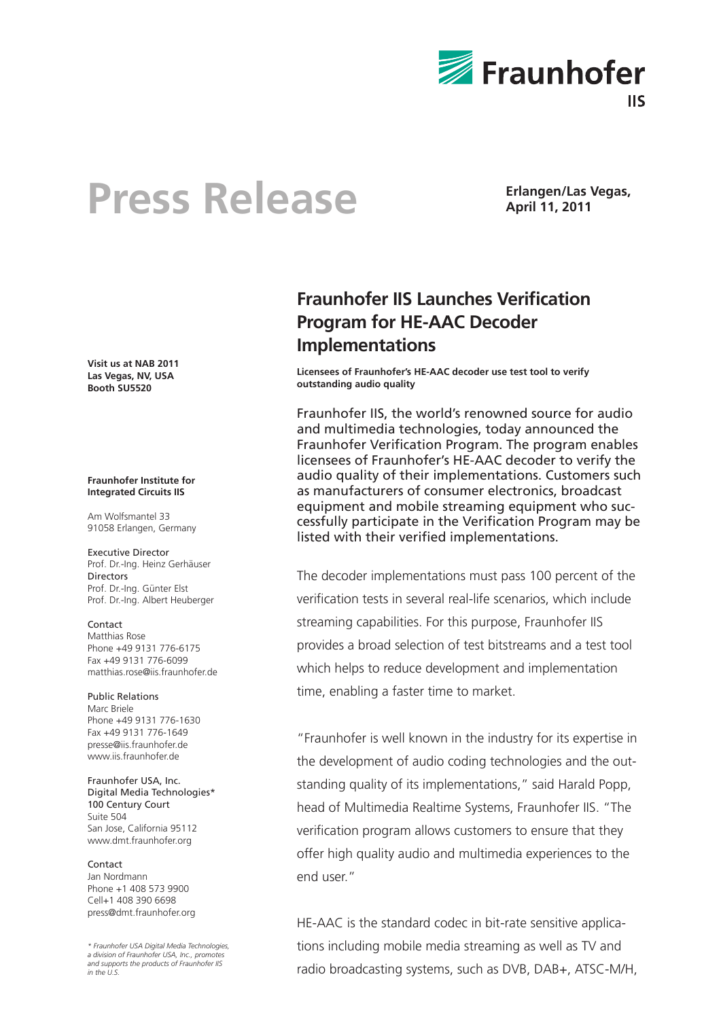

## Press Release **Erlangen/Las Vegas,**

**April 11, 2011**

**Visit us at NAB 2011 Las Vegas, NV, USA Booth SU5520**

#### **Fraunhofer Institute for Integrated Circuits IIS**

Am Wolfsmantel 33 91058 Erlangen, Germany

### Executive Director

Prof. Dr.-Ing. Heinz Gerhäuser Directors Prof. Dr.-Ing. Günter Elst Prof. Dr.-Ing. Albert Heuberger

### Contact

Matthias Rose Phone +49 9131 776-6175 Fax +49 9131 776-6099 matthias.rose@iis.fraunhofer.de

### Public Relations

Marc Briele Phone +49 9131 776-1630 Fax +49 9131 776-1649 presse@iis.fraunhofer.de www.iis.fraunhofer.de

Fraunhofer USA, Inc. Digital Media Technologies\* 100 Century Court Suite 504 San Jose, California 95112 www.dmt.fraunhofer.org

### Contact

Jan Nordmann Phone +1 408 573 9900 Cell+1 408 390 6698 press@dmt.fraunhofer.org

*\* Fraunhofer USA Digital Media Technologies, a division of Fraunhofer USA, Inc., promotes and supports the products of Fraunhofer IIS in the U.S.*

### **Fraunhofer IIS Launches Verification Program for HE-AAC Decoder Implementations**

**Licensees of Fraunhofer's HE-AAC decoder use test tool to verify outstanding audio quality** 

Fraunhofer IIS, the world's renowned source for audio and multimedia technologies, today announced the Fraunhofer Verification Program. The program enables licensees of Fraunhofer's HE-AAC decoder to verify the audio quality of their implementations. Customers such as manufacturers of consumer electronics, broadcast equipment and mobile streaming equipment who successfully participate in the Verification Program may be listed with their verified implementations.

The decoder implementations must pass 100 percent of the verification tests in several real-life scenarios, which include streaming capabilities. For this purpose, Fraunhofer IIS provides a broad selection of test bitstreams and a test tool which helps to reduce development and implementation time, enabling a faster time to market.

"Fraunhofer is well known in the industry for its expertise in the development of audio coding technologies and the outstanding quality of its implementations," said Harald Popp, head of Multimedia Realtime Systems, Fraunhofer IIS. "The verification program allows customers to ensure that they offer high quality audio and multimedia experiences to the end user."

HE-AAC is the standard codec in bit-rate sensitive applications including mobile media streaming as well as TV and radio broadcasting systems, such as DVB, DAB+, ATSC-M/H,